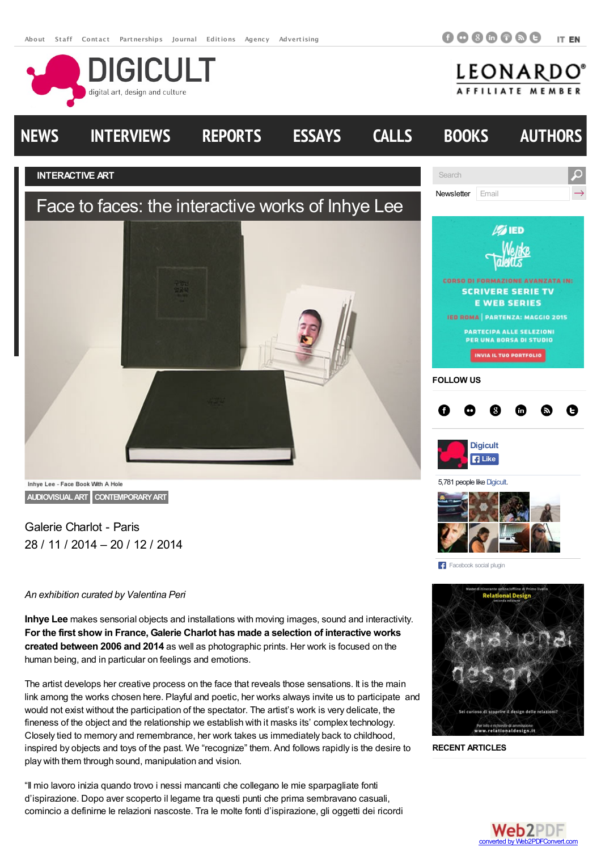**DIGICULT** 

digital art, design and culture

**0000000** ITEN





Galerie Charlot - Paris

28 / 11 / 2014 – 20 / 12 / 2014

## *An exhibition curated by Valentina Peri*

**Inhye Lee** makes sensorial objects and installations with moving images, sound and interactivity. **For the first show in France, Galerie Charlot has made a selection of interactive works created between 2006 and 2014** as well as photographic prints. Her work is focused on the human being, and in particular on feelings and emotions.

The artist develops her creative process on the face that reveals those sensations. It is the main link among the works chosen here. Playful and poetic, her works always invite us to participate and would not exist without the participation of the spectator. The artist's work is very delicate, the fineness of the object and the relationship we establish with it masks its' complex technology. Closely tied to memory and remembrance, her work takes us immediately back to childhood, inspired by objects and toys of the past. We "recognize" them. And follows rapidly is the desire to play with them through sound, manipulation and vision.

"Il mio lavoro inizia quando trovo i nessi mancanti che collegano le mie sparpagliate fonti d'ispirazione. Dopo aver scoperto il legame tra questi punti che prima sembravano casuali, comincio a definirne le relazioni nascoste. Tra le molte fonti d'ispirazione, gli oggetti dei ricordi



**RECENT ARTICLES**

**F3** Facebook social plugin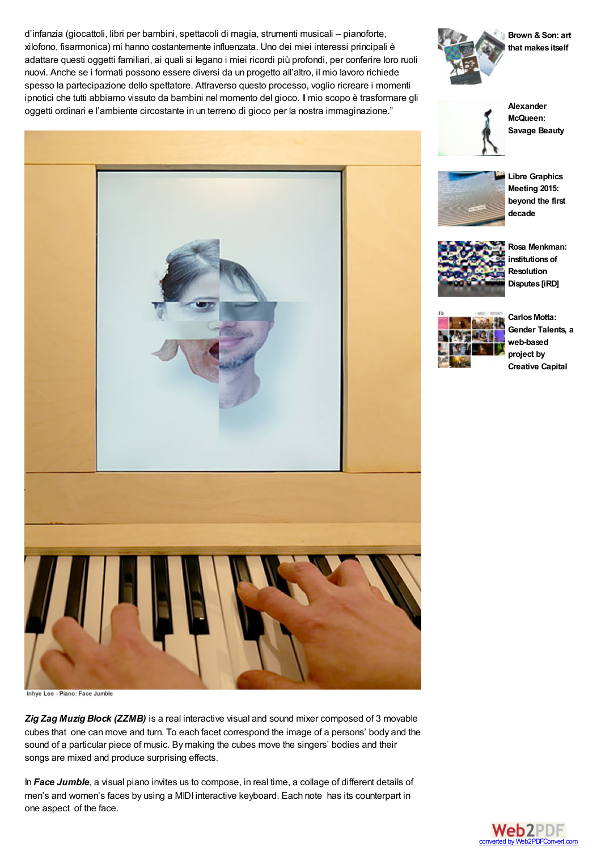d'infanzia (giocattoli, libri per bambini, spettacoli di magia, strumenti musicali – pianoforte, xilofono, fisarmonica) mi hanno costantemente influenzata. Uno dei miei interessi principali è adattare questi oggetti familiari, ai quali si legano i miei ricordi più profondi, per conferire loro ruoli nuovi. Anche se i formati possono essere diversi da un progetto all'altro, il mio lavoro richiede spesso la partecipazione dello spettatore. Attraverso questo processo, voglio ricreare i momenti ipnotici che tutti abbiamo vissuto da bambini nel momento del gioco. Il mio scopo è trasformare gli oggetti ordinari e l'ambiente circostante in un terreno di gioco per la nostra immaginazione."



**[Brown](http://www.digicult.it/news/brown-son-art-that-makes-itself/) & Son: art that makes itself**



**[Alexander](http://www.digicult.it/news/alexander-mcqueen-savage-beauty/) McQueen: Savage Beauty**



**Libre [Graphics](http://www.digicult.it/news/libre-graphics-meeting-2015-beyond-the-first-decade/) Meeting 2015: beyond the first decade**



**Rosa Menkman: [institutionsof](http://www.digicult.it/news/rosa-menkman-institutions-of-resolution-disputes-ird/) Resolution Disputes [iRD]**



Carlos Motta: **Gender Talents, a web-based project by Creative Capital**



*Zig Zag Muzig Block (ZZMB)* is a real interactive visual and sound mixer composed of 3 movable cubes that one can move and turn. To each facet correspond the image of a persons' body and the sound of a particular piece of music. By making the cubes move the singers' bodies and their songs are mixed and produce surprising effects.

In *Face Jumble*, a visual piano invites us to compose, in real time, a collage of different details of men's and women's faces by using a MIDI interactive keyboard. Each note has its counterpart in one aspect of the face.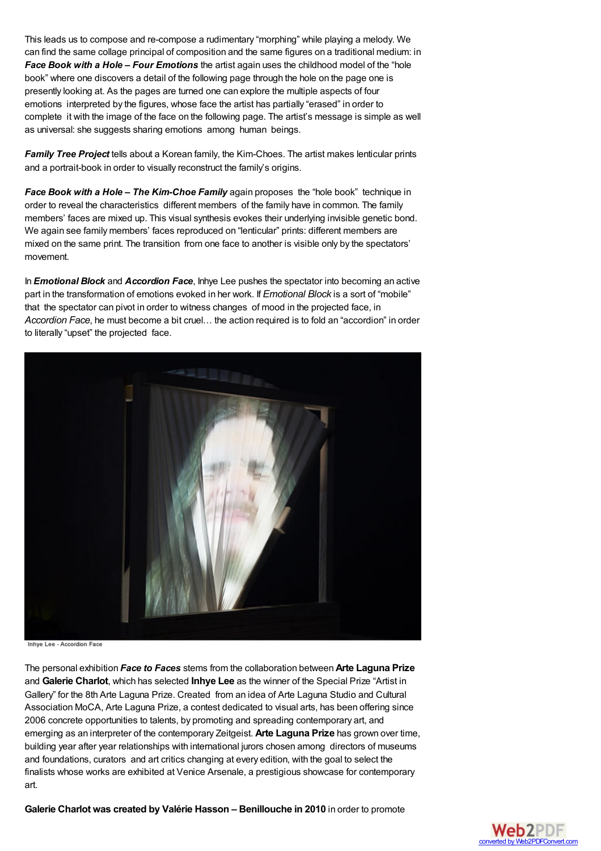This leads us to compose and re-compose a rudimentary "morphing" while playing a melody. We can find the same collage principal of composition and the same figures on a traditional medium: in *Face Book with a Hole – Four Emotions* the artist again uses the childhood model of the "hole book" where one discovers a detail of the following page through the hole on the page one is presently looking at. As the pages are turned one can explore the multiple aspects of four emotions interpreted by the figures, whose face the artist has partially "erased" in order to complete it with the image of the face on the following page. The artist's message is simple as well as universal: she suggests sharing emotions among human beings.

*Family Tree Project* tells about a Korean family, the Kim-Choes. The artist makes lenticular prints and a portrait-book in order to visually reconstruct the family's origins.

*Face Book with a Hole – The Kim-Choe Family* again proposes the "hole book" technique in order to reveal the characteristics different members of the family have in common. The family members' faces are mixed up. This visual synthesis evokes their underlying invisible genetic bond. We again see family members' faces reproduced on "lenticular" prints: different members are mixed on the same print. The transition from one face to another is visible only by the spectators' movement.

In *Emotional Block* and *Accordion Face*, Inhye Lee pushes the spectator into becoming an active part in the transformation of emotions evoked in her work. If *Emotional Block* is a sort of "mobile" that the spectator can pivot in order to witness changes of mood in the projected face, in *Accordion Face*, he must become a bit cruel… the action required is to fold an "accordion" in order to literally "upset" the projected face.



Inhye Lee - Accordion Face

The personal exhibition *Face to Faces* stems from the collaboration between **Arte Laguna Prize** and **Galerie Charlot**, which has selected **Inhye Lee** as the winner of the Special Prize "Artist in Gallery" for the 8th Arte Laguna Prize. Created from an idea of Arte Laguna Studio and Cultural Association MoCA, Arte Laguna Prize, a contest dedicated to visual arts, has been offering since 2006 concrete opportunities to talents, by promoting and spreading contemporary art, and emerging as an interpreter of the contemporary Zeitgeist. **Arte Laguna Prize** has grown over time, building year after year relationships with international jurors chosen among directors of museums and foundations, curators and art critics changing at every edition, with the goal to select the finalists whose works are exhibited at Venice Arsenale, a prestigious showcase for contemporary art.

**Galerie Charlot was created by Valérie Hasson – Benillouche in 2010** in order to promote